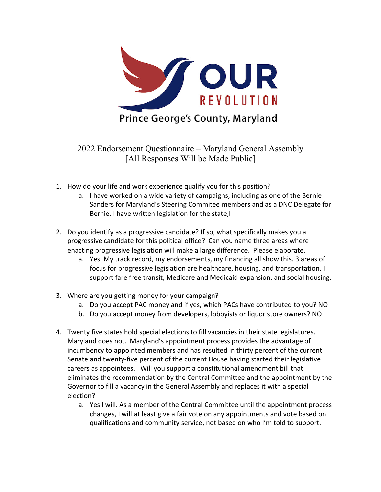

2022 Endorsement Questionnaire – Maryland General Assembly [All Responses Will be Made Public]

- 1. How do your life and work experience qualify you for this position?
	- a. I have worked on a wide variety of campaigns, including as one of the Bernie Sanders for Maryland's Steering Commitee members and as a DNC Delegate for Bernie. I have written legislation for the state,l
- 2. Do you identify as a progressive candidate? If so, what specifically makes you a progressive candidate for this political office? Can you name three areas where enacting progressive legislation will make a large difference. Please elaborate.
	- a. Yes. My track record, my endorsements, my financing all show this. 3 areas of focus for progressive legislation are healthcare, housing, and transportation. I support fare free transit, Medicare and Medicaid expansion, and social housing.
- 3. Where are you getting money for your campaign?
	- a. Do you accept PAC money and if yes, which PACs have contributed to you? NO
	- b. Do you accept money from developers, lobbyists or liquor store owners? NO
- 4. Twenty five states hold special elections to fill vacancies in their state legislatures. Maryland does not. Maryland's appointment process provides the advantage of incumbency to appointed members and has resulted in thirty percent of the current Senate and twenty-five percent of the current House having started their legislative careers as appointees. Will you support a constitutional amendment bill that eliminates the recommendation by the Central Committee and the appointment by the Governor to fill a vacancy in the General Assembly and replaces it with a special election?
	- a. Yes I will. As a member of the Central Committee until the appointment process changes, I will at least give a fair vote on any appointments and vote based on qualifications and community service, not based on who I'm told to support.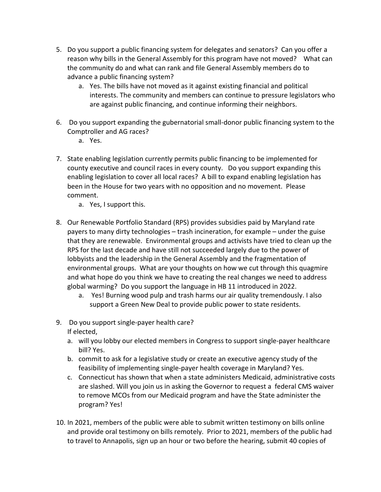- 5. Do you support a public financing system for delegates and senators? Can you offer a reason why bills in the General Assembly for this program have not moved? What can the community do and what can rank and file General Assembly members do to advance a public financing system?
	- a. Yes. The bills have not moved as it against existing financial and political interests. The community and members can continue to pressure legislators who are against public financing, and continue informing their neighbors.
- 6. Do you support expanding the gubernatorial small-donor public financing system to the Comptroller and AG races?
	- a. Yes.
- 7. State enabling legislation currently permits public financing to be implemented for county executive and council races in every county. Do you support expanding this enabling legislation to cover all local races? A bill to expand enabling legislation has been in the House for two years with no opposition and no movement. Please comment.
	- a. Yes, I support this.
- 8. Our Renewable Portfolio Standard (RPS) provides subsidies paid by Maryland rate payers to many dirty technologies – trash incineration, for example – under the guise that they are renewable. Environmental groups and activists have tried to clean up the RPS for the last decade and have still not succeeded largely due to the power of lobbyists and the leadership in the General Assembly and the fragmentation of environmental groups. What are your thoughts on how we cut through this quagmire and what hope do you think we have to creating the real changes we need to address global warming? Do you support the language in HB 11 introduced in 2022.
	- a. Yes! Burning wood pulp and trash harms our air quality tremendously. I also support a Green New Deal to provide public power to state residents.
- 9. Do you support single-payer health care? If elected,
	- a. will you lobby our elected members in Congress to support single-payer healthcare bill? Yes.
	- b. commit to ask for a legislative study or create an executive agency study of the feasibility of implementing single-payer health coverage in Maryland? Yes.
	- c. Connecticut has shown that when a state administers Medicaid, administrative costs are slashed. Will you join us in asking the Governor to request a federal CMS waiver to remove MCOs from our Medicaid program and have the State administer the program? Yes!
- 10. In 2021, members of the public were able to submit written testimony on bills online and provide oral testimony on bills remotely. Prior to 2021, members of the public had to travel to Annapolis, sign up an hour or two before the hearing, submit 40 copies of